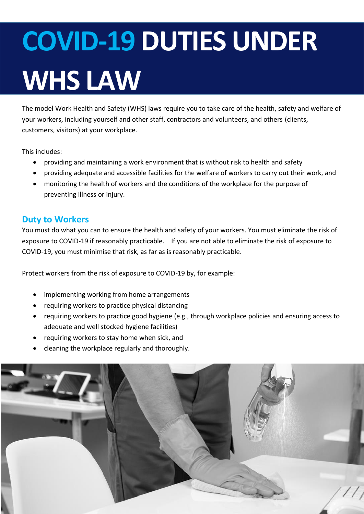# **COVID-19 DUTIES UNDER WHS LAW**

The model Work Health and Safety (WHS) laws require you to take care of the health, safety and welfare of your workers, including yourself and other staff, contractors and volunteers, and others (clients, customers, visitors) at your workplace.

This includes:

- providing and maintaining a work environment that is without risk to health and safety
- providing adequate and accessible facilities for the welfare of workers to carry out their work, and
- monitoring the health of workers and the conditions of the workplace for the purpose of preventing illness or injury.

#### **Duty to Workers**

You must do what you can to ensure the health and safety of your workers. You must eliminate the risk of exposure to COVID-19 if reasonably practicable. If you are not able to eliminate the risk of exposure to COVID-19, you must minimise that risk, as far as is reasonably practicable.

Protect workers from the risk of exposure to COVID-19 by, for example:

- implementing working from home arrangements
- requiring workers to practice physical distancing
- requiring workers to practice good hygiene (e.g., through workplace policies and ensuring access to adequate and well stocked hygiene facilities)
- requiring workers to stay home when sick, and
- cleaning the workplace regularly and thoroughly.